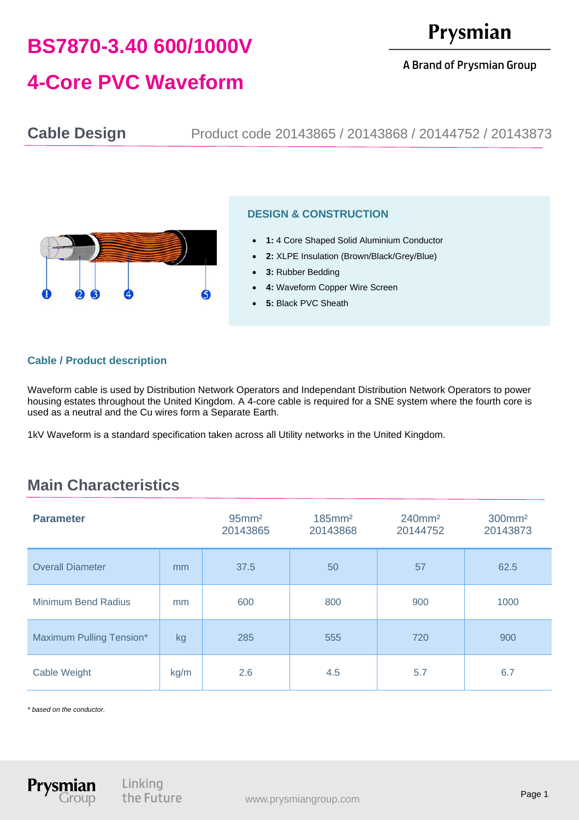# **BS7870-3.40 600/1000V**

## Prysmian

A Brand of Prysmian Group

## **4-Core PVC Waveform**

**Cable Design** Product code 20143865 / 20143868 / 20144752 / 20143873



#### **DESIGN & CONSTRUCTION**

- **1:** 4 Core Shaped Solid Aluminium Conductor
- **2:** XLPE Insulation (Brown/Black/Grey/Blue)
- **3:** Rubber Bedding
- **4: Waveform Copper Wire Screen**
- **5:** Black PVC Sheath

#### **Cable / Product description**

Waveform cable is used by Distribution Network Operators and Independant Distribution Network Operators to power housing estates throughout the United Kingdom. A 4-core cable is required for a SNE system where the fourth core is used as a neutral and the Cu wires form a Separate Earth.

1kV Waveform is a standard specification taken across all Utility networks in the United Kingdom.

### **Main Characteristics**

| <b>Parameter</b>           |      | $95$ mm <sup>2</sup><br>20143865 | $185$ mm <sup>2</sup><br>20143868 | $240$ mm <sup>2</sup><br>20144752 | 300mm <sup>2</sup><br>20143873 |
|----------------------------|------|----------------------------------|-----------------------------------|-----------------------------------|--------------------------------|
| <b>Overall Diameter</b>    | mm   | 37.5                             | 50                                | 57                                | 62.5                           |
| <b>Minimum Bend Radius</b> | mm   | 600                              | 800                               | 900                               | 1000                           |
| Maximum Pulling Tension*   | kg   | 285                              | 555                               | 720                               | 900                            |
| Cable Weight               | kg/m | 2.6                              | 4.5                               | 5.7                               | 6.7                            |

*\* based on the conductor.*